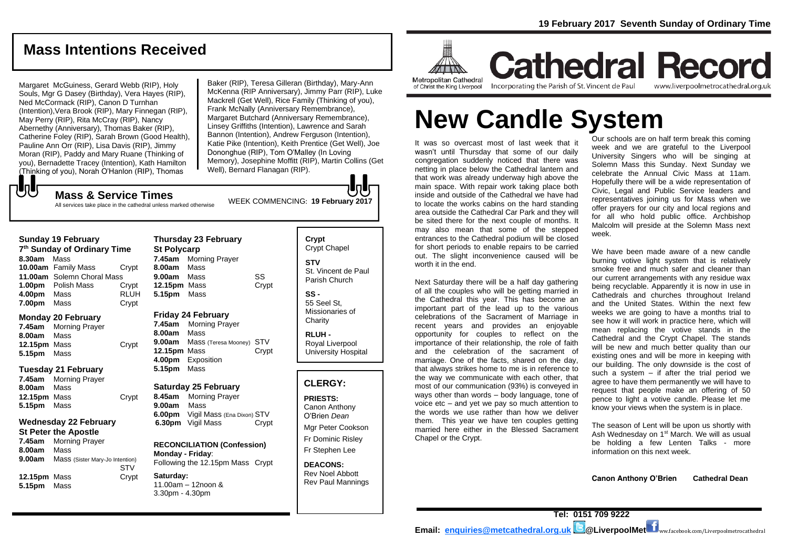## **Mass Intentions Received**

Margaret McGuiness, Gerard Webb (RIP), Holy Souls, Mgr G Dasey (Birthday), Vera Hayes (RIP), Ned McCormack (RIP), Canon D Turnhan (Intention),Vera Brook (RIP), Mary Finnegan (RIP), May Perry (RIP), Rita McCray (RIP), Nancy Abernethy (Anniversary), Thomas Baker (RIP), Catherine Foley (RIP), Sarah Brown (Good Health), Pauline Ann Orr (RIP), Lisa Davis (RIP), Jimmy Moran (RIP), Paddy and Mary Ruane (Thinking of you), Bernadette Tracey (Intention), Kath Hamilton (Thinking of you), Norah O'Hanlon (RIP), Thomas

Baker (RIP), Teresa Gilleran (Birthday), Mary-Ann McKenna (RIP Anniversary), Jimmy Parr (RIP), Luke Mackrell (Get Well), Rice Family (Thinking of you), Frank McNally (Anniversary Remembrance), Margaret Butchard (Anniversary Remembrance), Linsey Griffiths (Intention), Lawrence and Sarah Bannon (Intention), Andrew Ferguson (Intention), Katie Pike (Intention), Keith Prentice (Get Well), Joe Dononghue (RIP), Tom O'Malley (In Loving Memory), Josephine Moffitt (RIP), Martin Collins (Get Well), Bernard Flanagan (RIP).

もし

WEEK COMMENCING: **<sup>19</sup> February 2017 Mass & Service Times** All services take place in the cathedral unless marked otherwise

#### **Sunday 19 February**

| 7 <sup>th</sup> Sunday of Ordinary Time |                            |             |  |
|-----------------------------------------|----------------------------|-------------|--|
| 8.30am                                  | Mass                       |             |  |
|                                         | 10.00am Family Mass        | Crvpt       |  |
|                                         | 11.00am Solemn Choral Mass |             |  |
|                                         | <b>1.00pm</b> Polish Mass  | Crypt       |  |
| 4.00pm                                  | Mass                       | <b>RLUH</b> |  |
| 7.00pm                                  | Mass                       | Crypt       |  |

#### **Monday 20 February**

**7.45am** Morning Prayer **8.00am** Mass **12.15pm** Mass Crypt **5.15pm** Mass

#### **Tuesday 21 February**

| 7.45am       | <b>Morning Prayer</b> |       |
|--------------|-----------------------|-------|
| 8.00am Mass  |                       |       |
| 12.15pm Mass |                       | Crypt |
| 5.15pm Mass  |                       |       |

### **Wednesday 22 February**

#### **St Peter the Apostle**

**7.45am** Morning Prayer **8.00am** Mass **9.00am** Mass (Sister Mary-Jo Intention) **STV 12.15pm** Mass Crypt **5.15pm** Mass

**Thursday 23 February St Polycarp 7.45am** Morning Prayer **8.00am** Mass **9.00am** Mass SS **12.15pm** Mass Crypt **5.15pm** Mass

## **Friday 24 February**

**7.45am** Morning Prayer **8.00am** Mass **9.00am** Mass (Teresa Mooney) STV **12.15pm** Mass Crypt **4.00pm** Exposition **5.15pm** Mass

#### **Saturday 25 February**

**8.45am** Morning Prayer **9.00am** Mass **6.00pm** Vigil Mass (Ena Dixon) STV **6.30pm** Vigil Mass Crypt

**RECONCILIATION (Confession) Monday - Friday**: Following the 12.15pm Mass Crypt

**Saturday:** 11.00am – 12noon & 3.30pm - 4.30pm

**Crypt**  Crypt Chapel **STV** St. Vincent de Paul Parish Church

lal.

**SS -** 55 Seel St, Missionaries of **Charity** 

**RLUH -** Royal Liverpool University Hospital

## **CLERGY:**

**PRIESTS:** Canon Anthony O'Brien *Dean*

Mgr Peter Cookson Fr Dominic Risley Fr Stephen Lee

**DEACONS:** Rev Noel Abbott Rev Paul Mannings



**Cathedral Record** Incorporating the Parish of St. Vincent de Paul of Christ the King Liverpool

www.liverpoolmetrocathedral.org.uk

# **New Candle System**

It was so overcast most of last week that it wasn't until Thursday that some of our daily congregation suddenly noticed that there was netting in place below the Cathedral lantern and that work was already underway high above the main space. With repair work taking place both inside and outside of the Cathedral we have had to locate the works cabins on the hard standing area outside the Cathedral Car Park and they will be sited there for the next couple of months. It may also mean that some of the stepped entrances to the Cathedral podium will be closed for short periods to enable repairs to be carried out. The slight inconvenience caused will be worth it in the end.

Next Saturday there will be a half day gathering of all the couples who will be getting married in the Cathedral this year. This has become an important part of the lead up to the various celebrations of the Sacrament of Marriage in recent years and provides an enjoyable opportunity for couples to reflect on the importance of their relationship, the role of faith and the celebration of the sacrament of marriage. One of the facts, shared on the day, that always strikes home to me is in reference to the way we communicate with each other, that most of our communication (93%) is conveyed in ways other than words – body language, tone of voice etc – and yet we pay so much attention to the words we use rather than how we deliver them. This year we have ten couples getting married here either in the Blessed Sacrament Chapel or the Crypt.

Our schools are on half term break this coming week and we are grateful to the Liverpool University Singers who will be singing at Solemn Mass this Sunday. Next Sunday we celebrate the Annual Civic Mass at 11am. Hopefully there will be a wide representation of Civic, Legal and Public Service leaders and representatives joining us for Mass when we offer prayers for our city and local regions and for all who hold public office. Archbishop Malcolm will preside at the Solemn Mass next week.

We have been made aware of a new candle burning votive light system that is relatively smoke free and much safer and cleaner than our current arrangements with any residue wax being recyclable. Apparently it is now in use in Cathedrals and churches throughout Ireland and the United States. Within the next few weeks we are going to have a months trial to see how it will work in practice here, which will mean replacing the votive stands in the Cathedral and the Crypt Chapel. The stands will be new and much better quality than our existing ones and will be more in keeping with our building. The only downside is the cost of such a system  $-$  if after the trial period we agree to have them permanently we will have to request that people make an offering of 50 pence to light a votive candle. Please let me know your views when the system is in place.

The season of Lent will be upon us shortly with Ash Wednesday on 1<sup>st</sup> March. We will as usual be holding a few Lenten Talks - more information on this next week.

**Canon Anthony O'Brien Cathedral Dean**